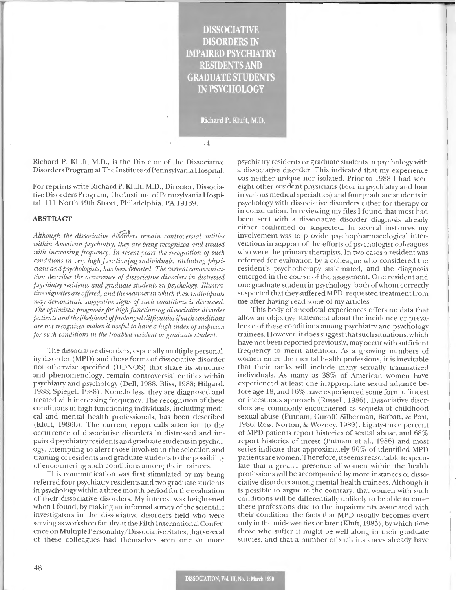# **DISSOCIATIVE DISORDERS II IMPAIRED PSYCHIATRY RESIDENTS AND GRADUATE STUDENTS** IN PSYCHOLOGY

Richard P. Kluft, M.D.

,看

Richard P. Kluft, M.D., is the Director of the Dissociative Disorders Program at The Institute of Pennsylvania Hospital.

For reprints write Richard P. Kluft, M.D., Director, Dissociative Disorders Program, The Institute of Pennsylvania Hospital, 111 North 49th Street, Philadelphia, PA 19139.

## **ABSTRACT**

*Although the dissociative diSrXJers remain controversial entities*  within American psychiatry, they are being recognized and treated *with increasing frequency. In recent years the recognition of such conditions in very high functionjng individuals, including physi* $cians$  and psychologists, has been reported. The current communica*tion describes the occurrence of dissociative disorders in distressed psychiatry residents and graduate students in psychology. Illustrative vignettes are offered, and the manner in which these indiviquals may demonstrate suggestive signs of such conditions is discussed. The optimistic prognosis for high-functioning dissociative disorder*   $p$ atients and the likelihood of prolonged difficulties if *such conditions are not recognized makes it useju l to have a high index of suspicion*  for such conditions in the troubled resident or graduate student.

The dissociative disorders, especially multiple personality disorder (MPD) and those forms of dissociative disorder not otherwise specified (DDNOS) that share its structure and phenomenology, remain controversial entities within psychiatry and psychology (Dell, 1988; Bliss, 1988; Hilgard, 1988; Spiegel, 1988). Nonetheless, they are diagnosed and treated with increasing frequency. The recognition of these conditions in high functioning individuals, including medical and mental health professionals, has been described  $(Kluff, 1986b)$ . The current report calls attention to the occurrence of dissociative disorders in distressed and impaired psychiatry residents and graduate students in psychology, attempting to alert those involved in the selection and training of residents and graduate students to the possibility of encountering such conditions among their trainees.

This communication was first stimulated by my being referred four psychiatry residents and two graduate students in psychology within a three month period for the evaluation of their dissociative disorders. My interest was heightened when I found, by making an informal survey of the scientific investigators in the dissociative disorders field who were serving as workshop faculty at the Fifth International Conference on Multiple Personality / Dissociative States, that several of these colleagues had themselves seen one or more

psychiatry residents or graduate students in psychology with a dissociative disorder. This indicated that my experience was neither unique nor isolated. Prior to 1988 I had seen eight other resident physicians (four in psychiatry and four in various medical specialties) and four graduate students in psychology with dissociative disorders either for therapy or in consultation. In reviewing my files I found that most had been sent with a dissociative disorder diagnosis already either confirmed or suspected. In several instances my involvement was to provide psychopharmacological interventions in support of the efforts of psychologist colleagues who were the primary therapists. In two cases a resident was referred for evaluation by a colleague who considered the resident's psychotherapy stalemated, and the diagnosis emerged in the course of the assessment. One resident and one graduate student in psychology, both of whom correctly suspected that they suffered MPD, requested treatment from me after having read some of my articles.

This body of anecdotal experiences offers no data that allow an objective statement about the incidence or prevalence of these conditions among psychiatry and psychology trainees. However, it does suggest that such situations, which have not been reported previously, may occur with sufficient frequency to merit attention. As a growing numbers of women enter the mental health professions, it is inevitable that their ranks will include many sexually traumatized individuals. As many as 38% of American women have experienced at least one inappropriate sexual advance before age 18, and 16% have experienced some form of incest or incestuous approach (Russell, 1986). Dissociative disorders are commonly encountered as sequela of childhood sexual abuse (Putnam, Guroff, Silberman, Barban, & Post, 1986; Ross, Norton, & Wozney, 1989). Eighty-three percent of MPD patients report histories of sexual abuse, and 68% report histories of incest (Putnam et al., 1986) and most series indicate that approximately 90% of identified MPD patients are women. Therefore, it seems reasonable to speculate that a greater presence of women within the health professions will be accompanied by more instances of dissociative disorders among mental health trainees. Although it is possible to argue to the contrary, that women with such conditions will be differentially unlikely to be able to enter these professions due to the impairments associated with their condition, the facts that MPD usually becomes overt on ly in the mid-twenties or later (Kluft, 1985), by which time those who suffer it might be well along in their graduate studies, and that a number of such instances already have

I

 $\mathbf{I}$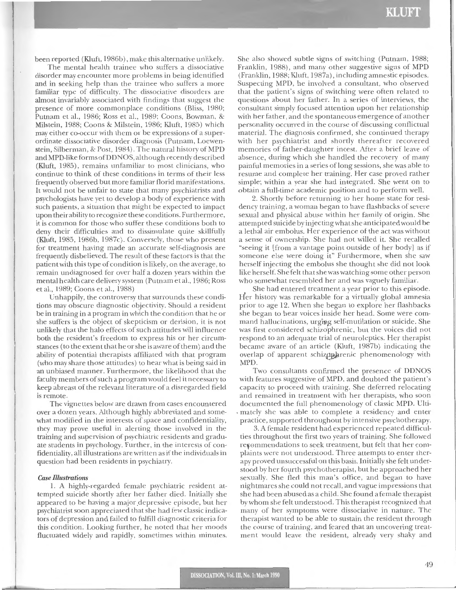been reported (Kluft, 1986b), make this alternative unlikely.

The mental health trainee who suffers a dissociative disorder may encounter more problems in being identified and in seeking help than the trainee who suffers a more familiar type of difficulty. The dissociative disorders are almost invariably associated with findings that suggest the presence of more commonplace conditions (Bliss, 1980; Putnam et al., 1986; Ross et al., 1989; Coons, Bowman, & Milstein, 1988; Coons & Milstein , 1986; Kluft, 1985) which may either co-occur with them or be expressions of a superordinate dissociative disorder diagnosis (Putnam, Loewenstein, Silberman, & Post, 1984). The natural history of MPD and MPD-like formsofDDNOS, although recently described (Kluft, 1985) , remains unfamiliar to most clinicians, who continue to think of these conditions in terms of their less frequently observed but more familiar florid manifestations. It would not be unfair to state that many psychiatrists and psychologists have yet to develop a body of experience with such patients, a situation that might be expected to impact upon their ability to recognize these conditions. Furthermore, it is common for those who suffer these conditions both to deny their difficulties and to dissimulate quite skillfully (Kluft, 1985, 1986b, 1987c). Conversely, those who present for treatment having made an accurate self-diagnosis are frequently disbelieved. The result of these factors is that the patientwith this type of condition is likely, on the average, to remain undiagnosed for over half a dozen years within the mental health care delivery system (Putnam et al., 1986; Ross eta!., 1989; Coons et al., 1988)

Unhappily, the controversy that surrounds these conditions may obscure diagnostic objectivity. Should a resident be in training in a program in which the condition that he or she suffers is the object of skepticism or derision, it is not unlikely that the halo effects of such attitudes will influence both the resident's freedom to express his or her circumstances (to the extent that he or she is aware of them) and the ability of potential therapists affiliated with that program (who may share those attitudes) to hear what is being said in an unbiased manner. Furthermore, the likelihood that the faculty members of such a program would feel it necessary to keep abreast of the relevant literature of a disregarded field is remote.

The vignettes below are drawn from cases encountered over a dozen years. Although highly abbreviated and somewhat modified in the interests of space and confidentiality, they may prove useful in alerting those involved in the training and supervision of psychiatric residents and graduate students in psychology. Further, in the interests of confidentiality, all illustrations are written as if the individuals in question had been residents in psychiatry.

#### *Case illustrations*

1. A highly-regarded female psychiatric resident attempted suicide shortly after her father died. Initially she appeared to be having a major depressive episode, but her psychiatrist soon appreciated that she had few classic indicators of depression and failed to fulfill diagnostic criteria for this condition. Looking further, he noted that her moods fluctuated widely and rapidly, sometimes within minutes.

She also showed subtle signs of switching (Putnam, 1988; Franklin, 1988) , and many other suggestive signs of MPD (Franklin, 1988; Kluft, 1987a) , including amnestic episodes. Suspecting MPD, he involved a consultant, who observed that the patient's signs of switching were often related to questions about her father. In a series of interviews, the consultant simply focused attention upon her relationship with her father, and the spontaneous emergence of another personality occurred in the course of discussing conflictual material. The diagnosis confirmed, she continued therapy with her psychiatrist and shortly thereafter recovered memories of father-daughter incest. After a brief leave of absence, during which she handled the recovery of many painful memories in a series of long sessions, she was able to resume and complete her training. Her case proved rather simple; within a year she had integrated. She went on to obtain a full-time academic position and to perform well.

2. Shortly before returning to her home state for residency training, a woman began to have flashbacks of severe sexual and physical abuse within her family of origin. She attempted suicide by injecting what she anticipated would be a lethal air embolus. Her experience of the act was without a sense of ownership. She had not willed it. She recalled "seeing it [from a vantage point outside of her body] as if someone else were doing it" Furthermore, when she saw herself injecting the embolus she thought she did not look like herself. She felt that she was watching some other person who somewhat resembled her and was vaguely familiar.

She had entered treatment a year prior to this episode. Her history was remarkable for a virtually global amnesia prior to age 12. When she began to explore her flashbacks she began to hear voices inside her head. Some were command hallucinations, urging self-mutilation or suicide. She was first considered schizophrenic, but the voices did not respond to an adequate trial of neuroleptics. Her therapist became aware of an article (Kluft, 1987b) indicating the overlap of apparent schizp.hrenic phenomenology with MPD. .

Two consultants confirmed the presence of DDNOS with features suggestive of MPD, and doubted the patient's capacity to proceed with training. She deferred relocating and remained in treatment with her therapists, who soon documented the full phenomenology of classic MPD. Ulti- . mately she was able to complete a residency and enter practice, supported throughout by intensive psychotherapy.

3. A female resident had experienced repeated difficulties throughout the first two years of training. She followed refommendations to seek treatment, but felt that her complaints were not understood. Three attempts to enter therapy proved unsuccessful on this basis. Initially she felt understood by her fourth psychotherapist, but he approached her sexually. She fled this man's office, and began to have nightmares she could not recall, and vague impressions that she had been abused as a child. She found a female therapist by whom she felt understood. This therapist recognized that many of her symptoms were dissociative in nature. The therapist wanted to be able to sustain the resident through the course of training, and feared that an uncovering treatment would leave the resident, already very shaky and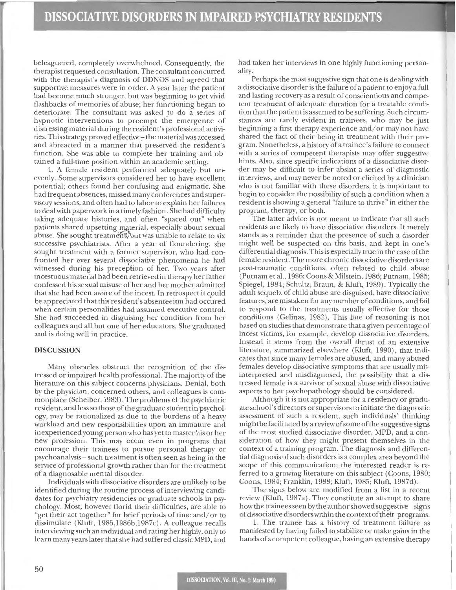beleaguered, completely ovenvhelmed. Consequently, the therapist requested consultation. The consultant concurred with the therapist's diagnosis of DDNOS and agreed that supportive measures were in order. A year later the patient had become much stronger, but was beginning to get vivid flashbacks of memories of abuse; her functioning began to deteriorate. The consultant was asked to do a series of hypnotic interventions to preempt the emergence of distressing material during the resident's professional activities. This strategy proved effective – the material was accessed and abreacted in a manner that preserved the resident's function. She was able to complete her training and obtained a full-time position within an academic setting.

4. A female resident performed adequately but unevenly. Some supervisors considered her to have excellent potential; others found her confusing and enigmatic. She had frequent absences, missed many conferences and supervisory sessions, and often had to labor to explain her failures to deal with paperwork in a timely fashion. She had difficulty taking adequate histories, and often "spaced out" when patients shared upsetting material, especially about sexual abuse. She sought treatment, but was unable to relate to six successive psychiatrists. After a year of floundering, she sought treatment with a former supervisor, who had confronted her over several dissociative phenomena he had witnessed during his preception of her. Two years after incestuous material had been retrieved in therapy her father confessed his sexual misuse of her and her mother admitted that she had been aware of the incest. In retrospect it cpuld be appreciated that this resident's absenteeism had occured when certain personalities had assumed executive control. She had succeeded in disguising her condition from her colleagues and all but one of her educators. She graduated and is doing well in practice.

## **DISCUSSION**

Many obstacles obstruct the recognition of the distressed or impaired health professional. The majority of the literature on this subject concerns physicians. Denial, both by the physician, concerned others, and colleagues is commonplace (Scheiber, 1983). The problems of the psychiatric resident, and less so those of the graduate student in psychology, may be rationalized as due to the burdens of a heavy workload and new responsibilities upon an immature and inexperienced young person who has yet to master his or her new profession. This may occur even in programs that encourage their trainees to pursue personal therapy or psychoanalysis- such treatment is often seen as being in the service of professional growth rather than for the treatment of a diagnosable men tal disorder.

Individuals with dissociative disorders are unlikely to be identified during the routine process of interviewing candidates for psychiatry residencies or graduate schools in psychology. Most, however florid their difficulties, are able to "get their act together" for brief periods of time and/ or to dissimulate (Kluft, 1985,1986b,1987c). A colleague recalls interviewing such an individual and rating her highly, only to learn many years later that she had suffered classic MPD, and

had taken her interviews in one highly functioning personality.

Perhaps the most suggestive sign that one is dealing with a dissociative disorder is the failure of a patient to enjoy a full and lasting recovery as a result of conscientious and competent treatment of adequate duration for a treatable condition that the patient is assumed to be suffering. Such circumstances are rarely evident in trainees, who may be just beginning a first therapy experience and/ or may not have shared the fact of their being in treatment with their program. Nonetheless, a history of a trainee's failure to connect with a series of competent therapists may offer suggestive hints. Also, since specific indications of a dissociative disorder may be difficult to infer absint a series of diagnostic interviews, and may never be noted or elicited by a clinician who is not familiar with these disorders, it is important to begin to consider the possibility of such a condition when a resident is showing a general "failure to thrive " in either the program, therapy, or both.

The latter advice is not meant to indicate that all such residents are likely to have dissociative disorders. It merely stands as a reminder that the presence of such a disorder might well be suspected on this basis, and kept in one's differential diagnosis. This is especially true in the case of the female resident. The more chronic dissociative disorders are post-traumatic conditions, often related to child abuse (Putnam et al., 1986; Coons & Milstein, 1986; Putnam, 1985; Spiegel, 1984; Schultz, Braun, & Kluft, 1989). Typically the adult sequela of child abuse are disguised, have dissociative features, are mistaken for any number of conditions, and fail to respond to the treatments usually effective for those conditions (Gelinas, 1983). This line of reasoning is not based on studies that demonstrate that a given percentage of incest victims, for example, develop dissociative disorders. Instead it stems from the overall thrust of an extensive literature, summarized elsewhere (Kluft, 1990), that indicates that since many females are abused, and many abused females develop dissociative symptoms that are usually misinterpreted and misdiagnosed, the possibility that a distressed female is a survivor of sexual abuse with dissociative aspects to her psychopathology should be considered.

Although it is not appropriate for a residency or graduate school's directors or supervisors to initiate the diagnostic assessment of such a resident, such individuals' thinking might be facilitated by a review of some of the suggestive signs of the most studied dissociative disorder, MPD, and a consideration of how they might present themselves in the context of a training program. The diagnosis and differential diagnosis of such disorders is a complex area beyond the scope of this communication; the interested reader is referred to a growing literature on this subject (Coons, 1980; Coons, 1984; Franklin, 1988; Kluft, 1985; Kluft, 1987d).

The signs below are modified from a list in a recent review (Kluft, 1987a). They constitute an attempt to share how the trainees seen by the author showed suggestive signs of dissociative disorders within the contextoftheir programs.

l. The trainee has a history of treatment failure as manifested by having failed to stabilize or make gains in the hands of a competent colleague, having an extensive therapy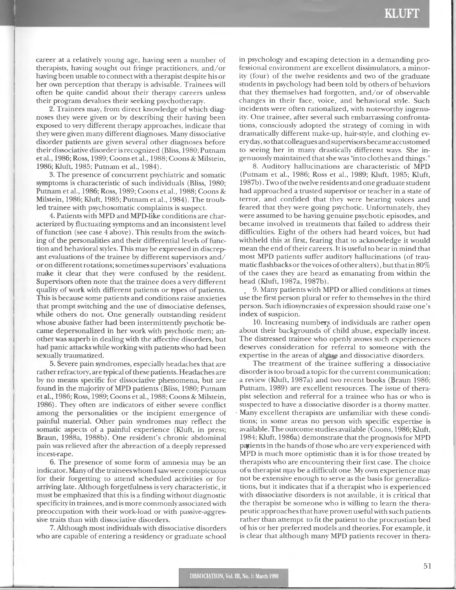career at a relatively young age, having seen a number of therapists, having sought out fringe practitioners, and/ or having been unable to connect with a therapist despite his or her own perception that therapy is advisable. Trainees will often be quite candid about their therapy careers unless their program devalues their seeking psychotherapy.

. . <sup>~</sup>

2. Trainees may, from direct knowledge of which diagnoses they were given or by describing their having been exposed to very different therapy approaches, indicate that they were given many different diagnoses. Many dissociative disorder patients are given several other diagnoses before their dissociative disorder is recognized (Bliss, 1980; Putnam et al. , 1986; Ross, 1989; Coons et al., 1988; Coons & Milstein, 1986; Kluft, 1985; Putnam et al., 1984).

3. The presence of concurrent psychiatric and somatic symptoms is characteristic of such individuals (Bliss, 1980; Putnam et al., 1986; Ross, 1989; Coons et al., 1988; Coons & Milstein, 1986; Kluft, 1985; Putnam et al., 1984). The troubled trainee with psychosomatic complaints is suspect.

4. Patients with MPD and MPD-like conditions are characterized by fluctuating symptoms and an inconsistent level of function (see case 4 above). This results from the switching of the personalities and their differential levels of function and behavioral styles. This may be expressed in discrepant evaluations of the trainee by different supervisors and/ or on different rotations; sometimes supervisors' evaluations make it clear that they were confused by the resident. Supervisors often note that the trainee does a very different quality of work with different patients or types of patients. This is because some patients and conditions raise anxieties that prompt switching and the use of dissociative defenses, while others do not. One generally outstanding resident whose abusive father had been intermittently psychotic became depersonalized in her work with psychotic men; another was superb in dealing with the affective disorders, but had panic attacks while working with patients who had been sexually traumatized.

5. Severe pain syndromes, especially headaches that are rather refractory, are typical of these patients. Headaches are by no means specific for dissociative phenomena, but are found in the majority of MPD patients (Bliss, 1980; Putnam et al., 1986; Ross, 1989; Coons et al., 1988; Coons & Milstein, 1986). They often are indicators of either severe conflict among the personalities or the incipient emergence of painful material. Other pain syndromes may reflect the somatic aspects of a painful experience (Kluft, in press; Braun, 1988a, 1988b). One resident's chronic abdominal pain was relieved after the abreaction of a deeply repressed incest-rape.

6. The presence of some form of amnesia may be an indicator. Many of the trainees whom I saw were conspicuous for their forgetting to attend scheduled activities or for arriving late. Although forgetfulness is very characteristic, it must be emphasized that this is a finding without diagnostic specificity in trainees, and is more commonly associated with preoccupation with their work-load or with passive-aggressive traits than with dissociative disorders.

7. Although most individuals with dissociative disorders who are capable of entering a residency or graduate school

in psychology and escaping detection in a demanding professional environment are excellent dissimulators, a minority (four) of the twelve residents and two of the graduate students in psychology had been told by others of behaviors that they themselves had forgotten, and/or of observable changes in their face, voice, and behavioral style. Such incidents were often rationalized, with noteworthy ingenuity. One trainee, after several such embarrassing confrontations, consciously adopted the strategy of coming in with dramatically different make-up, hair-style, and clothing every day, so that colleagues and supervisors became accustomed to seeing her in many drastically different ways. She ingenuously maintained that she was "into clothes and things."

8. Auditory hallucinations are characteristic of MPD (Putnam et al., 1986; Ross et al., 1989; Kluft, 1985; Kluft, l987b) . Two of the twelve residents and one graduate student had approached a trusted supervisor or teacher in a state of terror, and confided that they were hearing voices and feared that they were going psychotic. Unfortunately, they were assumed to be having genuine psychotic episodes, and became involved in treatments that failed to address their difficulties. Eight of the others had heard voices, but had withheld this at first, fearing that to acknowledge it would mean the end of their careers. It is useful to bear in mind that most MPD patients suffer auditory hallucinations (of traumatic flashbacks or the voices of other alters), but that in 80% of the cases they are heard as emanating from within the head (Kluft, 1987a, 1987b).

, 9. Many patients with MPD or allied conditions at times use the first person plural or refer to themselves in the third person. Such idiosyncrasies of expression should raise one's index of suspicion.

10. Increasing numbers of individuals are rather open about their backgrounds of child abuse, expecially incest. The distressed trainee who openly avows such experiences deserves consideration for referral to someone with the expertise in the areas of abuse and dissociative disorders.

The treatment of the trainee suffering a dissociative disorder is too broad a topic for the current communication; a review (Kluft, 1987a) and two recent books (Braun 1986; Putnam, 1989) are excellent resources. The issue of therapist selection and referral for a trainee who has or who is suspected to have a dissociative disorder is a thorny matter. Many excellent therapists are unfamiliar with these conditions; in some areas no person with specific expertise is available. The outcome studies available (Coons, 1986; Kluft, 1984; Kluft, 1986a) demonstrate that the prognosis for MPD patients in the hands of those who are very experienced with MPD is much more optimistic than it is for those treated by therapists who are encountering their first case. The choice of a therapist may be a difficult one. My own experience may not be extensive enough to serve as the basis for generalizations, but it indicates that if a therapist who is experienced with dissociative disorders is not available, it is critical that the therapist be someone who is willing to learn the therapeutic approaches that have proven useful with such patients rather than attempt to fit the patient to the procrustian bed of his or her preferred models and theories. For example, it is clear that although many MPD patients recover in thera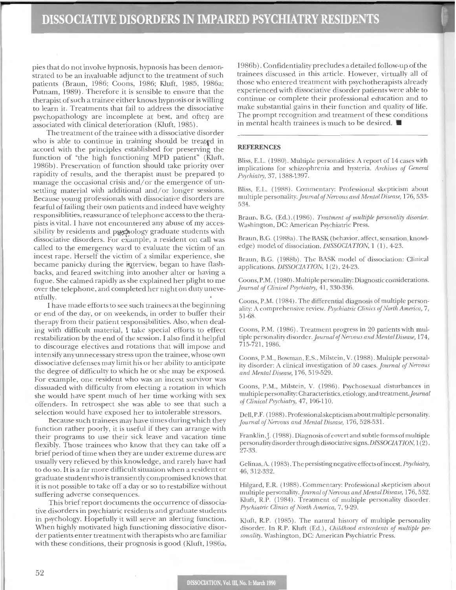pies that do not involve hypnosis, hypnosis has been demonstrated to be an invaluable adjunct to the treatment of such patients (Braun, 1986; Coons, 1986; Kluft, 1985, 1986a; Putnam, 1989). Therefore it is sensible to ensure that the therapist of such a trainee either knows hypnosis or is willing to learn it. Treatments that fail to address the dissociative psychopathology are incomplete at best, and often are associated with clinical deterioration (Kluft, 1985).

The treatment of the trainee with a dissociative disorder who is able to continue in training should be treated in accord with the principles established for preserving the function of "the high functioning MPD patient" (Kluft, 1986b). Preservation of function should take priority over rapidity of results, and the therapist must be prepared to manage the occasional crisis and/or the emergence of unsettling material with additional and/or longer sessions. Because young professionals with dissociative disorders are fearful of failing their own patients and indeed have weighty responsiblities, reassurance of telephone access to the therapists is vital. I have not encountered any abuse of my accessibility by residents and psychology graduate students with dissociative disorders. For example, a resident on call was called to the emergency ward to evaluate the victim of an incest rape. Herself the victim of a similar experience, she became panicky during the interview, began to have flashbacks, and feared switching into another alter or having a fugue. She calmed rapidly as she explained her plight to me over the telephone, and completed her night on duty uneventfully.

l have made efforts to see such trainees at the beginning or end of the day, or on weekends, in order to buffer their therapy from their patient responsibilities. Also, when dealing with difficult material, I take special efforts to effect restabilization by the end of the session. I also find it helpful to discourage electives and rotations that will impose and intensify any unnecessary stress upon the trainee, whose own dissociative defenses may limit his or her ability to anticipate the degree of difficulty to which he or she may be exposed. For example, one resident who was an incest survivor was dissuaded with difficulty from electing a rotation in which she would have spent much of her time working with sex offenders. In retrospect she was able to see that such a selection would have exposed her to intolerable stressors.

Because such trainees may have times during which they function rather poorly, it is useful if they can arrange with their programs to use their sick leave and vacation time flexibly. Those trainees who know that they can take off a brief period of time when they are under extreme duress are usually very relieved by this knowledge, and rarely have had to do so. It is a far more difficult situation when a resident or graduate student who is transiently compromised knows that it is not possible to take off a day or so to restabilize without suffering adverse consequences.

This brief report documents the occurrence of dissociative disorders in psychiatric residents and graduate students in psychology. Hopefully it will serve an alerting function. When highly motivated high functioning dissociative disorder patients enter treatment with therapists who are familiar with these conditions, their prognosis is good (Kluft, 1986a,

1986b). Confidentiality precludes a detailed follow-up of the trainees discussed in this article. However, virtually all of those who entered treatment with psychotherapists already experienced with dissociative disorder patients were able to continue or complete their professional education and to make substantial gains in their function and quality of life. The prompt recognition and treatment of these conditions in mental health trainees is much to be desired.  $\blacksquare$ 

#### **REFERENCES**

Bliss, E.L. (1980). Multiple personalities: A report of 14 cases with implications for schizophrenia and hysteria. Archives of General *Psyrhia!ly,* 37, 1388-1397.

Bliss, E.L. ( 1988). Commentary: Professional skepticism about multiple personality. Journal of Nervous and Mental Disease, 176, 533-534.

Braun, B.G. (Ed.).(1986). *Treatment of multiple personality disorder.* \1\'ashington, DC: American Psychiatric Press.

Braun, B.G. (1988a). The BASK (behavior, affect, sensation, knowledge) model of dissociation. *DISSOCIATION*, 1 (1), 4-23.

Braun, B.G. (l988b). The BASK model of dissociation: Clinical applications. *DISSOCIATION,* I (2), 24-23.

Coons, P.M. ( 1980). Multiple personality: Diagnostic considerations. *Journal of Clinical Psychiatry*, 41, 330-336.

Coons, P.M. (1984). The differential diagnosis of multiple personality: A comprehensive review. *Psychiatric Clinics of North America*, 7, 51-68.

Coons, P.M. (1986). Treatment progress in 20 patients with multiple personality disorder. *journal ofNemous and MentalDiseast,* 174, 715-721, 1986.

Coons, P.M., Bowman, E.S., Milstein, V. (1988). Multiple personality disorder: A clinical im·estigation of 50 cases. *Journal of Nemous and Mental Disease,* 176, 519-529.

Coons, P.M., Milstein, V. (1986). Psychosexual disturbances in multiple personality: Characteristics, etiology, and treatment. Journal *ofCliniml Psyrhiat1y,* 47, 106-110.

Dell, P.F. (1988). Professional skepticism about multiple personality. Journal of Nervous and Mental Disease, 176, 528-531.

Franklin ,]. ( 1988). Diagnosis of covert and subtle forms of multiple personality disorder through dissociative signs. *DISSOCIATION*,  $1(2)$ , 27-33.

Gelinas, A. (1983). The persisting negative effects of incest. *Psychiatry*, 46, 312-332.

Hilgard, E.R. (1988). Commentary: Professional skepticism about multiple personality. *Journal of Nervous and Mental Disease*, 176, 532. Kluft, R.P. (1984). Treatment of multiple personality disorder. Psychiatric Clinics of North America, 7, 9-29.

Kluft, R.P. (1985). The natural history of multiple personality disorder. In R.P. Kluft (Ed.), *Childhood antecedents of multiple per*sonality. Washington, DC: American Psychiatric Press.